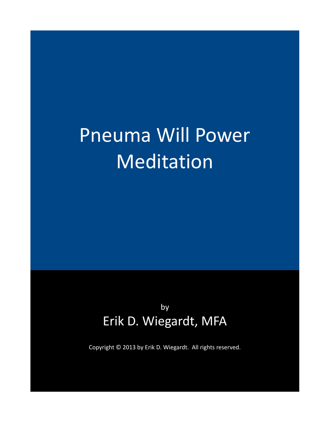# Pneuma Will Power Meditation

by Erik D. Wiegardt, MFA

Copyright © 2013 by Erik D. Wiegardt. All rights reserved.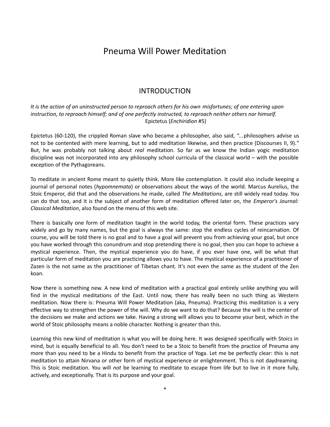# Pneuma Will Power Meditation

## INTRODUCTION

*It is the action of an uninstructed person to reproach others for his own misfortunes; of one entering upon instruction, to reproach himself; and of one perfectly instructed, to reproach neither others nor himself.* Epictetus (*Enchiridion* #5)

Epictetus (60-120), the crippled Roman slave who became a philosopher, also said, "...philosophers advise us not to be contented with mere learning, but to add meditation likewise, and then practice (Discourses II, 9)." But, he was probably not talking about *real* meditation. So far as we know the Indian yogic meditation discipline was not incorporated into any philosophy school curricula of the classical world – with the possible exception of the Pythagoreans.

To meditate in ancient Rome meant to quietly think. More like contemplation. It could also include keeping a journal of personal notes (*hypomnemata*) or observations about the ways of the world. Marcus Aurelius, the Stoic Emperor, did that and the observations he made, called *The Meditations*, are still widely read today. You can do that too, and it is the subject of another form of meditation offered later on, the *Emperor's Journal: Classical Meditation*, also found on the menu of this web site.

There is basically one form of meditation taught in the world today, the oriental form. These practices vary widely and go by many names, but the goal is always the same: stop the endless cycles of reincarnation. Of course, you will be told there is no goal and to have a goal will prevent you from achieving your goal, but once you have worked through this conundrum and stop pretending there is no goal, then you can hope to achieve a mystical experience. Then, the mystical experience you do have, if you ever have one, will be what that particular form of meditation you are practicing allows you to have. The mystical experience of a practitioner of Zazen is the not same as the practitioner of Tibetan chant. It's not even the same as the student of the Zen koan.

Now there is something new. A new kind of meditation with a practical goal entirely unlike anything you will find in the mystical meditations of the East. Until now, there has really been no such thing as Western meditation. Now there is: Pneuma Will Power Meditation (aka, Pneuma). Practicing this meditation is a very effective way to strengthen the power of the will. Why do we want to do that? Because the will is the center of the decisions we make and actions we take. Having a strong will allows you to become your best, which in the world of Stoic philosophy means a noble character. Nothing is greater than this.

Learning this new kind of meditation is what you will be doing here. It was designed specifically with Stoics in mind, but is equally beneficial to all. You don't need to be a Stoic to benefit from the practice of Pneuma any more than you need to be a Hindu to benefit from the practice of Yoga. Let me be perfectly clear: this is not meditation to attain Nirvana or other form of mystical experience or enlightenment. This is not daydreaming. This is Stoic meditation. You will *not* be learning to meditate to escape from life but to live in it more fully, actively, and exceptionally. That is its purpose and your goal.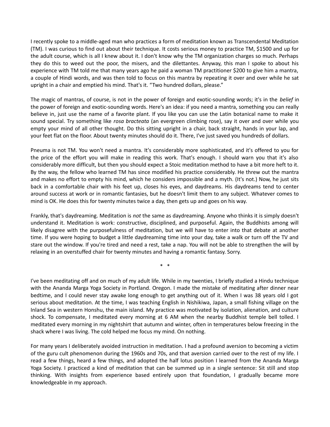I recently spoke to a middle-aged man who practices a form of meditation known as Transcendental Meditation (TM). I was curious to find out about their technique. It costs serious money to practice TM, \$1500 and up for the adult course, which is all I knew about it. I don't know why the TM organization charges so much. Perhaps they do this to weed out the poor, the misers, and the dilettantes. Anyway, this man I spoke to about his experience with TM told me that many years ago he paid a woman TM practitioner \$200 to give him a mantra, a couple of Hindi words, and was then told to focus on this mantra by repeating it over and over while he sat upright in a chair and emptied his mind. That's it. "Two hundred dollars, please."

The magic of mantras, of course, is not in the power of foreign and exotic-sounding words; it's in the *belief* in the power of foreign and exotic-sounding words. Here's an idea: if you need a mantra, something you can really believe in, just use the name of a favorite plant. If you like you can use the Latin botanical name to make it sound special. Try something like *rosa bracteata* (an evergreen climbing rose), say it over and over while you empty your mind of all other thought. Do this sitting upright in a chair, back straight, hands in your lap, and your feet flat on the floor. About twenty minutes should do it. There, I've just saved you hundreds of dollars.

Pneuma is not TM. You won't need a mantra. It's considerably more sophisticated, and it's offered to you for the price of the effort you will make in reading this work. That's enough. I should warn you that it's also considerably more difficult, but then you should expect a Stoic meditation method to have a bit more heft to it. By the way, the fellow who learned TM has since modified his practice considerably. He threw out the mantra and makes no effort to empty his mind, which he considers impossible and a myth. (It's not.) Now, he just sits back in a comfortable chair with his feet up, closes his eyes, and daydreams. His daydreams tend to center around success at work or in romantic fantasies, but he doesn't limit them to any subject. Whatever comes to mind is OK. He does this for twenty minutes twice a day, then gets up and goes on his way.

Frankly, that's daydreaming. Meditation is *not* the same as daydreaming. Anyone who thinks it is simply doesn't understand it. Meditation is work: constructive, disciplined, and purposeful. Again, the Buddhists among will likely disagree with the purposefulness of meditation, but we will have to enter into that debate at another time. If you were hoping to budget a little daydreaming time into your day, take a walk or turn off the TV and stare out the window. If you're tired and need a rest, take a nap. You will not be able to strengthen the will by relaxing in an overstuffed chair for twenty minutes and having a romantic fantasy. Sorry.

\* \*

I've been meditating off and on much of my adult life. While in my twenties, I briefly studied a Hindu technique with the Ananda Marga Yoga Society in Portland. Oregon. I made the mistake of meditating after dinner near bedtime, and I could never stay awake long enough to get anything out of it. When I was 38 years old I got serious about meditation. At the time, I was teaching English in Nishikiwa, Japan, a small fishing village on the Inland Sea in western Honshu, the main island. My practice was motivated by isolation, alienation, and culture shock. To compensate, I meditated every morning at 6 AM when the nearby Buddhist temple bell tolled. I meditated every morning in my nightshirt that autumn and winter, often in temperatures below freezing in the shack where I was living. The cold helped me focus my mind. On nothing.

For many years I deliberately avoided instruction in meditation. I had a profound aversion to becoming a victim of the guru cult phenomenon during the 1960s and 70s, and that aversion carried over to the rest of my life. I read a few things, heard a few things, and adopted the half lotus position I learned from the Ananda Marga Yoga Society. I practiced a kind of meditation that can be summed up in a single sentence: Sit still and stop thinking. With insights from experience based entirely upon that foundation, I gradually became more knowledgeable in my approach.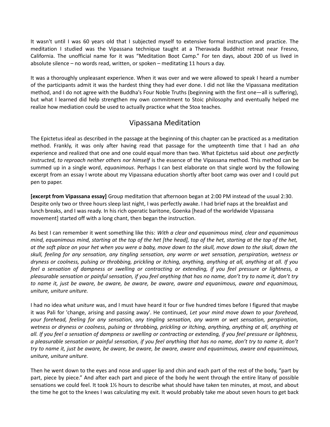It wasn't until I was 60 years old that I subjected myself to extensive formal instruction and practice. The meditation I studied was the Vipassana technique taught at a Theravada Buddhist retreat near Fresno, California. The unofficial name for it was "Meditation Boot Camp." For ten days, about 200 of us lived in absolute silence – no words read, written, or spoken – meditating 11 hours a day.

It was a thoroughly unpleasant experience. When it was over and we were allowed to speak I heard a number of the participants admit it was the hardest thing they had ever done. I did not like the Vipassana meditation method, and I do not agree with the Buddha's Four Noble Truths (beginning with the first one—all is suffering), but what I learned did help strengthen my own commitment to Stoic philosophy and eventually helped me realize how mediation could be used to actually practice what the Stoa teaches.

## Vipassana Meditation

The Epictetus ideal as described in the passage at the beginning of this chapter can be practiced as a meditation method. Frankly, it was only after having read that passage for the umpteenth time that I had an *aha* experience and realized that one and one could equal more than two. What Epictetus said about *one perfectly instructed, to reproach neither others nor himself* is the essence of the Vipassana method. This method can be summed up in a single word, *equanimous*. Perhaps I can best elaborate on that single word by the following excerpt from an essay I wrote about my Vipassana education shortly after boot camp was over and I could put pen to paper.

**[excerpt from Vipassana essay]** Group meditation that afternoon began at 2:00 PM instead of the usual 2:30. Despite only two or three hours sleep last night, I was perfectly awake. I had brief naps at the breakfast and lunch breaks, and I was ready. In his rich operatic baritone, Goenka [head of the worldwide Vipassana movement] started off with a long chant, then began the instruction.

As best I can remember it went something like this: *With a clear and equanimous mind, clear and equanimous mind, equanimous mind, starting at the top of the het [the head], top of the het, starting at the top of the het, at the soft place on your het when you were a baby, move down to the skull, move down to the skull, down the skull, feeling for any sensation, any tingling sensation, any warm or wet sensation, perspiration, wetness or dryness or coolness, pulsing or throbbing, prickling or itching, anything, anything at all, anything at all. If you feel a sensation of dampness or swelling or contracting or extending, if you feel pressure or lightness, a pleasurable sensation or painful sensation, if you feel anything that has no name, don't try to name it, don't try to name it, just be aware, be aware, be aware, be aware, aware and equanimous, aware and equanimous, uniture, uniture uniture.*

I had no idea what *uniture* was, and I must have heard it four or five hundred times before I figured that maybe it was Pali for 'change, arising and passing away'. He continued, *Let your mind move down to your forehead, your forehead, feeling for any sensation, any tingling sensation, any warm or wet sensation, perspiration, wetness or dryness or coolness, pulsing or throbbing, prickling or itching, anything, anything at all, anything at all. If you feel a sensation of dampness or swelling or contracting or extending, if you feel pressure or lightness, a pleasurable sensation or painful sensation, if you feel anything that has no name, don't try to name it, don't try to name it, just be aware, be aware, be aware, be aware, aware and equanimous, aware and equanimous, uniture, uniture uniture.* 

Then he went down to the eyes and nose and upper lip and chin and each part of the rest of the body, "part by part, piece by piece." And after each part and piece of the body he went through the entire litany of possible sensations we could feel. It took 1½ hours to describe what should have taken ten minutes, at most, and about the time he got to the knees I was calculating my exit. It would probably take me about seven hours to get back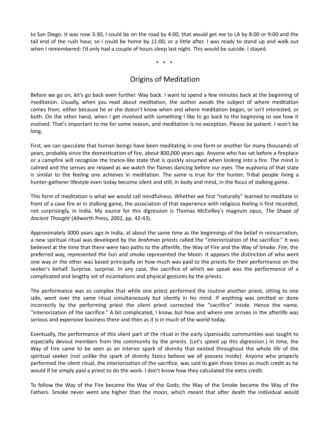to San Diego. It was now 3:30, I could be on the road by 4:00, that would get me to LA by 8:00 or 9:00 and the tail end of the rush hour, so I could be home by 11:00, or a little after. I was ready to stand up and walk out when I remembered: I'd only had a couple of hours sleep last night. This would be suicide. I stayed.

\* \* \*

# Origins of Meditation

Before we go on, let's go back even further. Way back. I want to spend a few minutes back at the beginning of meditation. Usually, when you read about meditation, the author avoids the subject of where meditation comes from, either because he or she doesn't know when and where meditation began, or isn't interested, or both. On the other hand, when I get involved with something I like to go back to the beginning to see how it evolved. That's important to me for some reason, and meditation is no exception. Please be patient. I won't be long.

First, we can speculate that human beings have been meditating in one form or another for many thousands of years, probably since the domestication of fire, about 800,000 years ago. Anyone who has sat before a fireplace or a campfire will recognize the trance-like state that is quickly assumed when looking into a fire. The mind is calmed and the senses are relaxed as we watch the flames dancing before our eyes. The euphoria of that state is similar to the feeling one achieves in meditation. The same is true for the hunter. Tribal people living a hunter-gatherer lifestyle even today become silent and still, in body and mind, in the focus of stalking game.

This form of meditation is what we would call mindfulness. Whether we first "naturally" learned to meditate in front of a cave fire or in stalking game, the association of that experience with religious feeling is first recorded, not surprisingly, in India. My source for this digression is Thomas McEvilley's magnum opus, *The Shape of Ancient Thought* (Allworth Press, 2002, pp. 42-43).

Approximately 3000 years ago in India, at about the same time as the beginnings of the belief in reincarnation, a new spiritual ritual was developed by the *brahman* priests called the "interiorization of the sacrifice." It was believed at the time that there were two paths to the afterlife, the Way of Fire and the Way of Smoke. Fire, the preferred way, represented the Sun and smoke represented the Moon. It appears the distinction of who went one way or the other was based principally on how much was paid to the priests for their performance on the seeker's behalf. Surprise. surprise. In any case, the sacrifice of which we speak was the performance of a complicated and lengthy set of incantations and physical gestures by the priests.

The performance was so complex that while one priest performed the routine another priest, sitting to one side, went over the same ritual simultaneously but silently in his mind. If anything was omitted or done incorrectly by the performing priest the silent priest corrected the "sacrifice" inside. Hence the name, "interiorization of the sacrifice." A bit complicated, I know, but how and where one arrives in the afterlife was serious and expensive business there and then as it is in much of the world today.

Eventually, the performance of this silent part of the ritual in the early Upanisadic communities was taught to especially devout members from the community by the priests. (Let's speed up this digression.) In time, the Way of Fire came to be seen as an interior spark of divinity that existed throughout the whole life of the spiritual seeker (not unlike the spark of divinity Stoics believe we all possess inside). Anyone who properly performed the silent ritual, the interiorization of the sacrifice, was said to gain three times as much credit as he would if he simply paid a priest to do the work. I don't know how they calculated the extra credit.

To follow the Way of the Fire became the Way of the Gods; the Way of the Smoke became the Way of the Fathers. Smoke never went any higher than the moon, which meant that after death the individual would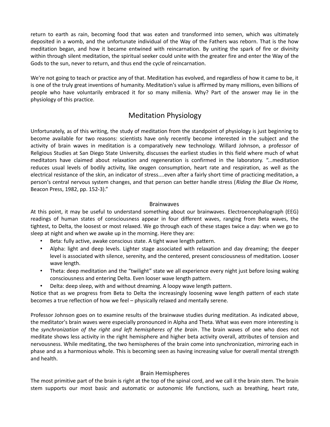return to earth as rain, becoming food that was eaten and transformed into semen, which was ultimately deposited in a womb, and the unfortunate individual of the Way of the Fathers was reborn. That is the how meditation began, and how it became entwined with reincarnation. By uniting the spark of fire or divinity within through silent meditation, the spiritual seeker could unite with the greater fire and enter the Way of the Gods to the sun, never to return, and thus end the cycle of reincarnation.

We're not going to teach or practice any of that. Meditation has evolved, and regardless of how it came to be, it is one of the truly great inventions of humanity. Meditation's value is affirmed by many millions, even billions of people who have voluntarily embraced it for so many millenia. Why? Part of the answer may lie in the physiology of this practice.

## Meditation Physiology

Unfortunately, as of this writing, the study of meditation from the standpoint of physiology is just beginning to become available for two reasons: scientists have only recently become interested in the subject and the activity of brain waves in meditation is a comparatively new technology. Willard Johnson, a professor of Religious Studies at San Diego State University, discusses the earliest studies in this field where much of what meditators have claimed about relaxation and regeneration is confirmed in the laboratory. "...meditation reduces usual levels of bodily activity, like oxygen consumption, heart rate and respiration, as well as the electrical resistance of the skin, an indicator of stress....even after a fairly short time of practicing meditation, a person's central nervous system changes, and that person can better handle stress (*Riding the Blue Ox Home,* Beacon Press, 1982, pp. 152-3)."

#### Brainwaves

At this point, it may be useful to understand something about our brainwaves. Electroencephalograph (EEG) readings of human states of consciousness appear in four different waves, ranging from Beta waves, the tightest, to Delta, the loosest or most relaxed. We go through each of these stages twice a day: when we go to sleep at night and when we awake up in the morning. Here they are:

- Beta: fully active, awake conscious state. A tight wave length pattern.
- Alpha: light and deep levels. Lighter stage associated with relaxation and day dreaming; the deeper level is associated with silence, serenity, and the centered, present consciousness of meditation. Looser wave length.
- Theta: deep meditation and the "twilight" state we all experience every night just before losing waking consciousness and entering Delta. Even looser wave length pattern.
- Delta: deep sleep, with and without dreaming. A loopy wave length pattern.

Notice that as we progress from Beta to Delta the increasingly loosening wave length pattern of each state becomes a true reflection of how we feel – physically relaxed and mentally serene.

Professor Johnson goes on to examine results of the brainwave studies during meditation. As indicated above, the meditator's brain waves were especially pronounced in Alpha and Theta. What was even more interesting is the *synchronization of the right and left hemispheres of the brain*. The brain waves of one who does not meditate shows less activity in the right hemisphere and higher beta activity overall, attributes of tension and nervousness. While meditating, the two hemispheres of the brain come into synchronization, mirroring each in phase and as a harmonious whole. This is becoming seen as having increasing value for overall mental strength and health.

#### Brain Hemispheres

The most primitive part of the brain is right at the top of the spinal cord, and we call it the brain stem. The brain stem supports our most basic and automatic or autonomic life functions, such as breathing, heart rate,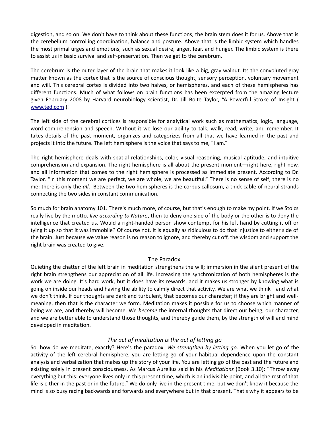digestion, and so on. We don't have to think about these functions, the brain stem does it for us. Above that is the cerebellum controlling coordination, balance and posture. Above that is the limbic system which handles the most primal urges and emotions, such as sexual desire, anger, fear, and hunger. The limbic system is there to assist us in basic survival and self-preservation. Then we get to the cerebrum.

The cerebrum is the outer layer of the brain that makes it look like a big, gray walnut. Its the convoluted gray matter known as the cortex that is the source of conscious thought, sensory perception, voluntary movement and will. This cerebral cortex is divided into two halves, or hemispheres, and each of these hemispheres has different functions. Much of what follows on brain functions has been excerpted from the amazing lecture given February 2008 by Harvard neurobiology scientist, Dr. Jill Bolte Taylor, "A Powerful Stroke of Insight ( [www.ted.com](http://www.ted.com/) )."

The left side of the cerebral cortices is responsible for analytical work such as mathematics, logic, language, word comprehension and speech. Without it we lose our ability to talk, walk, read, write, and remember. It takes details of the past moment, organizes and categorizes from all that we have learned in the past and projects it into the future. The left hemisphere is the voice that says to me, "I am."

The right hemisphere deals with spatial relationships, color, visual reasoning, musical aptitude, and intuitive comprehension and expansion. The right hemisphere is all about the present moment—right here, right now, and all information that comes to the right hemisphere is processed as immediate present. According to Dr. Taylor, "In this moment we are perfect, we are whole, we are beautiful." There is no sense of self; there is no me; there is only the *all*. Between the two hemispheres is the corpus callosum, a thick cable of neural strands connecting the two sides in constant communication.

So much for brain anatomy 101. There's much more, of course, but that's enough to make my point. If we Stoics really live by the motto, *live according to Nature*, then to deny one side of the body or the other is to deny the intelligence that created us. Would a right-handed person show contempt for his left hand by cutting it off or tying it up so that it was immobile? Of course not. It is equally as ridiculous to do that injustice to either side of the brain. Just because we value reason is no reason to ignore, and thereby cut off, the wisdom and support the right brain was created to give.

#### The Paradox

Quieting the chatter of the left brain in meditation strengthens the will; immersion in the silent present of the right brain strengthens our appreciation of all life. Increasing the synchronization of both hemispheres is the work we are doing. It's hard work, but it does have its rewards, and it makes us stronger by knowing what is going on inside our heads and having the ability to calmly direct that activity. We are what we think—and what we don't think. If our thoughts are dark and turbulent, that becomes our character; if they are bright and wellmeaning, then that is the character we form. Meditation makes it possible for us to choose which manner of being we are, and thereby will become. We *become* the internal thoughts that direct our being, our character, and we are better able to understand those thoughts, and thereby guide them, by the strength of will and mind developed in meditation.

#### *The act of meditation is the act of letting go*

So, how do we meditate, exactly? Here's the paradox. *We strengthen by letting go*. When you let go of the activity of the left cerebral hemisphere, you are letting go of your habitual dependence upon the constant analysis and verbalization that makes up the story of your life. You are letting go of the past and the future and existing solely in present consciousness. As Marcus Aurelius said in his *Meditations* (Book 3.10): "Throw away everything but this: everyone lives only in this present time, which is an indivisible point, and all the rest of that life is either in the past or in the future." We do only live in the present time, but we don't know it because the mind is so busy racing backwards and forwards and everywhere but in that present. That's why it appears to be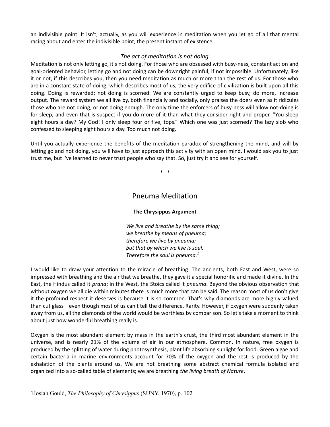an indivisible point. It isn't, actually, as you will experience in meditation when you let go of all that mental racing about and enter the indivisible point, the present instant of existence.

#### *The act of meditation is not doing*

Meditation is not only letting go, it's not doing. For those who are obsessed with busy-ness, constant action and goal-oriented behavior, letting go and not doing can be downright painful, if not impossible. Unfortunately, like it or not, if this describes you, then you need meditation as much or more than the rest of us. For those who are in a constant state of doing, which describes most of us, the very edifice of civilization is built upon all this doing. Doing is rewarded; not doing is scorned. We are constantly urged to keep busy, do more, increase output. The reward system we all live by, both financially and socially, only praises the doers even as it ridicules those who are not doing, or not doing enough. The only time the enforcers of busy-ness will allow not-doing is for sleep, and even that is suspect if you do more of it than what they consider right and proper. "You sleep eight hours a day? My God! I only sleep four or five, tops." Which one was just scorned? The lazy slob who confessed to sleeping eight hours a day. Too much not doing.

Until you actually experience the benefits of the meditation paradox of strengthening the mind, and will by letting go and not doing, you will have to just approach this activity with an open mind. I would ask you to just trust me, but I've learned to never trust people who say that. So, just try it and see for yourself.

\* \*

## Pneuma Meditation

#### **The Chrysippus Argument**

*We live and breathe by the same thing; we breathe by means of pneuma; therefore we live by pneuma; but that by which we live is soul. Therefore the soul is pneuma.[1](#page-7-0)*

I would like to draw your attention to the miracle of breathing. The ancients, both East and West, were so impressed with breathing and the air that we breathe, they gave it a special honorific and made it divine. In the East, the Hindus called it *prana*; in the West, the Stoics called it *pneuma*. Beyond the obvious observation that without oxygen we all die within minutes there is much more that can be said. The reason most of us don't give it the profound respect it deserves is because it is so common. That's why diamonds are more highly valued than cut glass—even though most of us can't tell the difference. Rarity. However, if oxygen were suddenly taken away from us, all the diamonds of the world would be worthless by comparison. So let's take a moment to think about just how wonderful breathing really is.

Oxygen is the most abundant element by mass in the earth's crust, the third most abundant element in the universe, and is nearly 21% of the volume of air in our atmosphere. Common. In nature, free oxygen is produced by the splitting of water during photosynthesis, plant life absorbing sunlight for food. Green algae and certain bacteria in marine environments account for 70% of the oxygen and the rest is produced by the exhalation of the plants around us. We are not breathing some abstract chemical formula isolated and organized into a so-called table of elements; we are breathing *the living breath of Nature*.

<span id="page-7-0"></span><sup>1</sup>Josiah Gould, *The Philosophy of Chrysippus* (SUNY, 1970), p. 102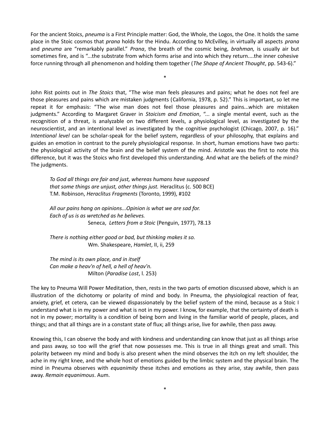For the ancient Stoics, *pneuma* is a First Principle matter: God, the Whole, the Logos, the One. It holds the same place in the Stoic cosmos that *prana* holds for the Hindu. According to McEvilley, in virtually all aspects *prana* and *pneuma* are "remarkably parallel." *Prana*, the breath of the cosmic being, *brahman,* is usually air but sometimes fire, and is "...the substrate from which forms arise and into which they return....the inner cohesive force running through all phenomenon and holding them together (*The Shape of Ancient Thought*, pp. 543-6)."

\*

John Rist points out in *The Stoics* that, "The wise man feels pleasures and pains; what he does not feel are those pleasures and pains which are mistaken judgments (California, 1978, p. 52)." This is important, so let me repeat it for emphasis: "The wise man does not feel those pleasures and pains...which are mistaken judgments." According to Margaret Graver in *Stoicism and Emotion*, "... a single mental event, such as the recognition of a threat, is analyzable on two different levels, a physiological level, as investigated by the neuroscientist, and an intentional level as investigated by the cognitive psychologist (Chicago, 2007, p. 16)." *Intentional level* can be scholar-speak for the belief system, regardless of your philosophy, that explains and guides an emotion in contrast to the purely physiological response. In short, human emotions have two parts: the physiological activity of the brain and the belief system of the mind. Aristotle was the first to note this difference, but it was the Stoics who first developed this understanding. And what are the beliefs of the mind? The judgments.

*To God all things are fair and just, whereas humans have supposed that some things are unjust, other things just.* Heraclitus (c. 500 BCE) T.M. Robinson, *Heraclitus Fragments* (Toronto, 1999), #102

*All our pains hang on opinions...Opinion is what we are sad for. Each of us is as wretched as he believes.*  Seneca, *Letters from a Stoic* (Penguin, 1977), 78.13

*There is nothing either good or bad, but thinking makes it so.* Wm. Shakespeare, *Hamlet*, II, ii, 259

*The mind is its own place, and in itself Can make a heav'n of hell, a hell of heav'n.* Milton (*Paradise Lost*, l. 253)

The key to Pneuma Will Power Meditation, then, rests in the two parts of emotion discussed above, which is an illustration of the dichotomy or polarity of mind and body. In Pneuma, the physiological reaction of fear, anxiety, grief, et cetera, can be viewed dispassionately by the belief system of the mind, because as a Stoic I understand what is in my power and what is not in my power. I know, for example, that the certainty of death is not in my power; mortality is a condition of being born and living in the familiar world of people, places, and things; and that all things are in a constant state of flux; all things arise, live for awhile, then pass away.

Knowing this, I can observe the body and with kindness and understanding can know that just as all things arise and pass away, so too will the grief that now possesses me. This is true in all things great and small. This polarity between my mind and body is also present when the mind observes the itch on my left shoulder, the ache in my right knee, and the whole host of emotions guided by the limbic system and the physical brain. The mind in Pneuma observes with *equanimity* these itches and emotions as they arise, stay awhile, then pass away. *Remain equanimous*. Aum.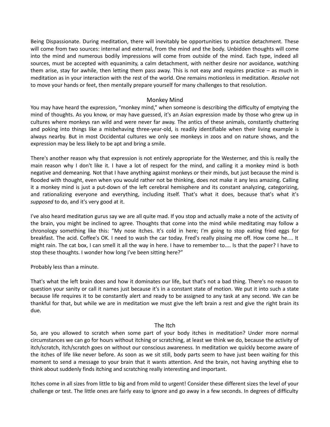Being Dispassionate. During meditation, there will inevitably be opportunities to practice detachment. These will come from two sources: internal and external, from the mind and the body. Unbidden thoughts will come into the mind and numerous bodily impressions will come from outside of the mind. Each type, indeed all sources, must be accepted with equanimity, a calm detachment, with neither desire nor avoidance, watching them arise, stay for awhile, then letting them pass away. This is not easy and requires practice – as much in meditation as in your interaction with the rest of the world. One remains motionless in meditation. *Resolve* not to move your hands or feet, then mentally prepare yourself for many challenges to that resolution.

#### Monkey Mind

You may have heard the expression, "monkey mind," when someone is describing the difficulty of emptying the mind of thoughts. As you know, or may have guessed, it's an Asian expression made by those who grew up in cultures where monkeys ran wild and were never far away. The antics of these animals, constantly chattering and poking into things like a misbehaving three-year-old, is readily identifiable when their living example is always nearby. But in most Occidental cultures we only see monkeys in zoos and on nature shows, and the expression may be less likely to be apt and bring a smile.

There's another reason why that expression is not entirely appropriate for the Westerner, and this is really the main reason why I don't like it. I have a lot of respect for the mind, and calling it a monkey mind is both negative and demeaning. Not that I have anything against monkeys or their minds, but just because the mind is flooded with thought, even when you would rather not be thinking, does not make it any less amazing. Calling it a monkey mind is just a put-down of the left cerebral hemisphere and its constant analyzing, categorizing, and rationalizing everyone and everything, including itself. That's what it does, because that's what it's *supposed* to do, and it's very good at it.

I've also heard meditation gurus say we are all quite mad. If you stop and actually make a note of the activity of the brain, you might be inclined to agree. Thoughts that come into the mind while meditating may follow a chronology something like this: "My nose itches. It's cold in here; I'm going to stop eating fried eggs for breakfast. The acid. Coffee's OK. I need to wash the car today. Fred's really pissing me off. How come he.... It might rain. The cat box, I can smell it all the way in here. I have to remember to.... Is that the paper? I have to stop these thoughts. I wonder how long I've been sitting here?"

Probably less than a minute.

That's what the left brain does and how it dominates our life, but that's not a bad thing. There's no reason to question your sanity or call it names just because it's in a constant state of motion. We put it into such a state because life requires it to be constantly alert and ready to be assigned to any task at any second. We can be thankful for that, but while we are in meditation we must give the left brain a rest and give the right brain its due.

#### The Itch

So, are you allowed to scratch when some part of your body itches in meditation? Under more normal circumstances we can go for hours without itching or scratching, at least we think we do, because the activity of itch/scratch, itch/scratch goes on without our conscious awareness. In meditation we quickly become aware of the itches of life like never before. As soon as we sit still, body parts seem to have just been waiting for this moment to send a message to your brain that it wants attention. And the brain, not having anything else to think about suddenly finds itching and scratching really interesting and important.

Itches come in all sizes from little to big and from mild to urgent! Consider these different sizes the level of your challenge or test. The little ones are fairly easy to ignore and go away in a few seconds. In degrees of difficulty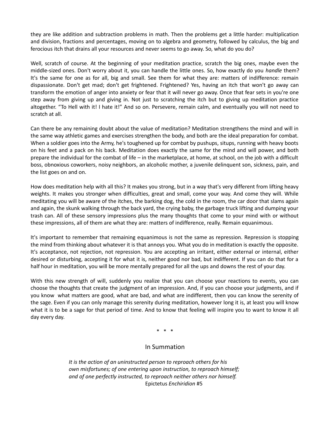they are like addition and subtraction problems in math. Then the problems get a little harder: multiplication and division, fractions and percentages, moving on to algebra and geometry, followed by calculus, the big and ferocious itch that drains all your resources and never seems to go away. So, what do you do?

Well, scratch of course. At the beginning of your meditation practice, scratch the big ones, maybe even the middle-sized ones. Don't worry about it, you can handle the little ones. So, how exactly do you *handle* them? It's the same for one as for all, big and small. See them for what they are: matters of indifference: remain dispassionate. Don't get mad; don't get frightened. Frightened? Yes, having an itch that won't go away can transform the emotion of anger into anxiety or fear that it will never go away. Once that fear sets in you're one step away from giving up and giving in. Not just to scratching the itch but to giving up meditation practice altogether. "To Hell with it! I hate it!" And so on. Persevere, remain calm, and eventually you will not need to scratch at all.

Can there be any remaining doubt about the value of meditation? Meditation strengthens the mind and will in the same way athletic games and exercises strengthen the body, and both are the ideal preparation for combat. When a soldier goes into the Army, he's toughened up for combat by pushups, situps, running with heavy boots on his feet and a pack on his back. Meditation does exactly the same for the mind and will power, and both prepare the individual for the combat of life – in the marketplace, at home, at school, on the job with a difficult boss, obnoxious coworkers, noisy neighbors, an alcoholic mother, a juvenile delinquent son, sickness, pain, and the list goes on and on.

How does meditation help with all this? It makes you strong, but in a way that's very different from lifting heavy weights. It makes you stronger when difficulties, great and small, come your way. And come they will. While meditating you will be aware of the itches, the barking dog, the cold in the room, the car door that slams again and again, the skunk walking through the back yard, the crying baby, the garbage truck lifting and dumping your trash can. All of these sensory impressions plus the many thoughts that come to your mind with or without these impressions, all of them are what they are: matters of indifference, really. Remain equanimous.

It's important to remember that remaining equanimous is not the same as repression. Repression is stopping the mind from thinking about whatever it is that annoys you. What you do in meditation is exactly the opposite. It's acceptance, not rejection, not repression. You are accepting an irritant, either external or internal, either desired or disturbing, accepting it for what it is, neither good nor bad, but indifferent. If you can do that for a half hour in meditation, you will be more mentally prepared for all the ups and downs the rest of your day.

With this new strength of will, suddenly you realize that you can choose your reactions to events, you can choose the thoughts that create the judgment of an impression. And, if you can choose your judgments, and if you know what matters are good, what are bad, and what are indifferent, then you can know the serenity of the sage. Even if you can only manage this serenity during meditation, however long it is, at least you will know what it is to be a sage for that period of time. And to know that feeling will inspire you to want to know it all day every day.

\* \* \*

#### In Summation

*It is the action of an uninstructed person to reproach others for his own misfortunes; of one entering upon instruction, to reproach himself; and of one perfectly instructed, to reproach neither others nor himself.* Epictetus *Enchiridion* #5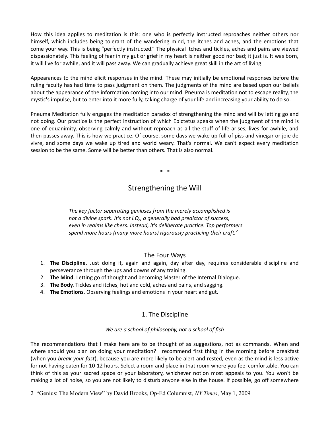How this idea applies to meditation is this: one who is perfectly instructed reproaches neither others nor himself, which includes being tolerant of the wandering mind, the itches and aches, and the emotions that come your way. This is being "perfectly instructed." The physical itches and tickles, aches and pains are viewed dispassionately. This feeling of fear in my gut or grief in my heart is neither good nor bad; it just is. It was born, it will live for awhile, and it will pass away. We can gradually achieve great skill in the art of living.

Appearances to the mind elicit responses in the mind. These may initially be emotional responses before the ruling faculty has had time to pass judgment on them. The judgments of the mind are based upon our beliefs about the appearance of the information coming into our mind. Pneuma is meditation not to escape reality, the mystic's impulse, but to enter into it more fully, taking charge of your life and increasing your ability to do so.

Pneuma Meditation fully engages the meditation paradox of strengthening the mind and will by letting go and not doing. Our practice is the perfect instruction of which Epictetus speaks when the judgment of the mind is one of equanimity, observing calmly and without reproach as all the stuff of life arises, lives for awhile, and then passes away. This is how we practice. Of course, some days we wake up full of piss and vinegar or joie de vivre, and some days we wake up tired and world weary. That's normal. We can't expect every meditation session to be the same. Some will be better than others. That is also normal.

\* \*

# Strengthening the Will

*The key factor separating geniuses from the merely accomplished is not a divine spark. It's not I.Q., a generally bad predictor of success, even in realms like chess. Instead, it's deliberate practice. Top performers spend more hours (many more hours) rigorously practicing their craft.[2](#page-11-0)*

#### The Four Ways

- 1. **The Discipline**. Just doing it, again and again, day after day, requires considerable discipline and perseverance through the ups and downs of any training.
- 2. **The Mind**. Letting go of thought and becoming Master of the Internal Dialogue.
- 3. **The Body**. Tickles and itches, hot and cold, aches and pains, and sagging.
- 4. **The Emotions**. Observing feelings and emotions in your heart and gut.

## 1. The Discipline

#### *We are a school of philosophy, not a school of fish*

The recommendations that I make here are to be thought of as suggestions, not as commands. When and where should you plan on doing your meditation? I recommend first thing in the morning before breakfast (when you *break your fast*), because you are more likely to be alert and rested, even as the mind is less active for not having eaten for 10-12 hours. Select a room and place in that room where you feel comfortable. You can think of this as your sacred space or your laboratory, whichever notion most appeals to you. You won't be making a lot of noise, so you are not likely to disturb anyone else in the house. If possible, go off somewhere

<span id="page-11-0"></span><sup>2 &</sup>quot;Genius: The Modern View" by David Brooks, Op-Ed Columnist, *NY Times*, May 1, 2009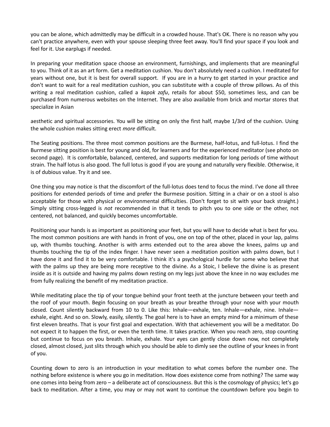you can be alone, which admittedly may be difficult in a crowded house. That's OK. There is no reason why you can't practice anywhere, even with your spouse sleeping three feet away. You'll find your space if you look and feel for it. Use earplugs if needed.

In preparing your meditation space choose an environment, furnishings, and implements that are meaningful to you. Think of it as an art form. Get a meditation cushion. You don't absolutely need a cushion. I meditated for years without one, but it is best for overall support. If you are in a hurry to get started in your practice and don't want to wait for a real meditation cushion, you can substitute with a couple of throw pillows. As of this writing a real meditation cushion, called a *kapok zafu*, retails for about \$50, sometimes less, and can be purchased from numerous websites on the Internet. They are also available from brick and mortar stores that specialize in Asian

aesthetic and spiritual accessories. You will be sitting on only the first half, maybe 1/3rd of the cushion. Using the whole cushion makes sitting erect *more* difficult.

The Seating positions. The three most common positions are the Burmese, half-lotus, and full-lotus. I find the Burmese sitting position is best for young and old, for learners and for the experienced meditator (see photo on second page). It is comfortable, balanced, centered, and supports meditation for long periods of time without strain. The half lotus is also good. The full lotus is good if you are young and naturally very flexible. Otherwise, it is of dubious value. Try it and see.

One thing you may notice is that the discomfort of the full-lotus does tend to focus the mind. I've done all three positions for extended periods of time and prefer the Burmese position. Sitting in a chair or on a stool is also acceptable for those with physical or environmental difficulties. (Don't forget to sit with your back straight.) Simply sitting cross-legged is *not* recommended in that it tends to pitch you to one side or the other, not centered, not balanced, and quickly becomes uncomfortable.

Positioning your hands is as important as positioning your feet, but you will have to decide what is best for you. The most common positions are with hands in front of you, one on top of the other, placed in your lap, palms up, with thumbs touching. Another is with arms extended out to the area above the knees, palms up and thumbs touching the tip of the index finger. I have never seen a meditation position with palms down, but I have done it and find it to be very comfortable. I think it's a psychological hurdle for some who believe that with the palms up they are being more receptive to the divine. As a Stoic, I believe the divine is as present inside as it is outside and having my palms down resting on my legs just above the knee in no way excludes me from fully realizing the benefit of my meditation practice.

While meditating place the tip of your tongue behind your front teeth at the juncture between your teeth and the roof of your mouth. Begin focusing on your breath as your breathe through your nose with your mouth closed. Count silently backward from 10 to 0. Like this: Inhale—exhale, ten. Inhale—exhale, nine. Inhale exhale, eight. And so on. Slowly, easily, silently. The goal here is to have an empty mind for a minimum of these first eleven breaths. That is your first goal and expectation. With that achievement you will be a meditator. Do not expect it to happen the first, or even the tenth time. It takes practice. When you reach zero, stop counting but continue to focus on you breath. Inhale, exhale. Your eyes can gently close down now, not completely closed, almost closed, just slits through which you should be able to dimly see the outline of your knees in front of you.

Counting down to zero is an introduction in your meditation to what comes before the number one. The nothing before existence is where you go in meditation. How does existence come from nothing? The same way one comes into being from zero – a deliberate act of consciousness. But this is the cosmology of physics; let's go back to meditation. After a time, you may or may not want to continue the countdown before you begin to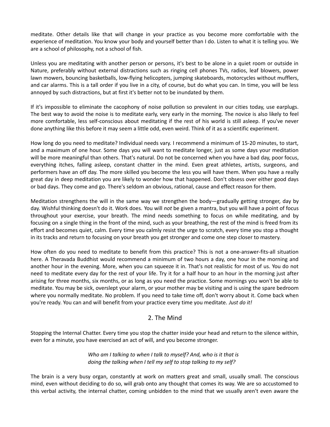meditate. Other details like that will change in your practice as you become more comfortable with the experience of meditation. You know your body and yourself better than I do. Listen to what it is telling you. We are a school of philosophy, not a school of fish.

Unless you are meditating with another person or persons, it's best to be alone in a quiet room or outside in Nature, preferably without external distractions such as ringing cell phones TVs, radios, leaf blowers, power lawn mowers, bouncing basketballs, low-flying helicopters, jumping skateboards, motorcycles without mufflers, and car alarms. This is a tall order if you live in a city, of course, but do what you can. In time, you will be less annoyed by such distractions, but at first it's better not to be inundated by them.

If it's impossible to eliminate the cacophony of noise pollution so prevalent in our cities today, use earplugs. The best way to avoid the noise is to meditate early, very early in the morning. The novice is also likely to feel more comfortable, less self-conscious about meditating if the rest of his world is still asleep. If you've never done anything like this before it may seem a little odd, even weird. Think of it as a scientific experiment.

How long do you need to meditate? Individual needs vary. I recommend a minimum of 15-20 minutes, to start, and a maximum of one hour. Some days you will want to meditate longer, just as some days your meditation will be more meaningful than others. That's natural. Do not be concerned when you have a bad day, poor focus, everything itches, falling asleep, constant chatter in the mind. Even great athletes, artists, surgeons, and performers have an off day. The more skilled you become the less you will have them. When you have a really great day in deep meditation you are likely to wonder how that happened. Don't obsess over either good days or bad days. They come and go. There's seldom an obvious, rational, cause and effect reason for them.

Meditation strengthens the will in the same way we strengthen the body—gradually getting stronger, day by day. Wishful thinking doesn't do it. Work does. You will *not* be given a mantra, but you will have a point of focus throughout your exercise, your breath. The mind needs something to focus on while meditating, and by focusing on a single thing in the front of the mind, such as your breathing, the rest of the mind is freed from its effort and becomes quiet, calm. Every time you calmly resist the urge to scratch, every time you stop a thought in its tracks and return to focusing on your breath you get stronger and come one step closer to mastery.

How often do you need to meditate to benefit from this practice? This is not a one-answer-fits-all situation here. A Theravada Buddhist would recommend a minimum of two hours a day, one hour in the morning and another hour in the evening. More, when you can squeeze it in. That's not realistic for most of us. You do not need to meditate every day for the rest of your life. Try it for a half hour to an hour in the morning just after arising for three months, six months, or as long as you need the practice. Some mornings you won't be able to meditate. You may be sick, overslept your alarm, or your mother may be visiting and is using the spare bedroom where you normally meditate. No problem. If you need to take time off, don't worry about it. Come back when you're ready. You can and will benefit from your practice every time you meditate. *Just do it!*

#### 2. The Mind

Stopping the Internal Chatter. Every time you stop the chatter inside your head and return to the silence within, even for a minute, you have exercised an act of will, and you become stronger.

#### *Who am I talking to when I talk to myself? And, who is it that is doing the talking when I tell my self to stop talking to my self?*

The brain is a very busy organ, constantly at work on matters great and small, usually small. The conscious mind, even without deciding to do so, will grab onto any thought that comes its way. We are so accustomed to this verbal activity, the internal chatter, coming unbidden to the mind that we usually aren't even aware the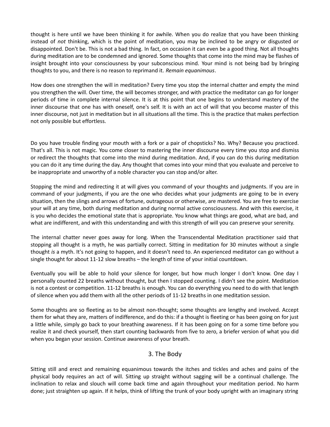thought is here until we have been thinking it for awhile. When you do realize that you have been thinking instead of *not* thinking, which is the point of meditation, you may be inclined to be angry or disgusted or disappointed. Don't be. This is not a bad thing. In fact, on occasion it can even be a good thing. Not all thoughts during meditation are to be condemned and ignored. Some thoughts that come into the mind may be flashes of insight brought into your consciousness by your subconscious mind. Your mind is not being bad by bringing thoughts to you, and there is no reason to reprimand it. *Remain equanimous*.

How does one strengthen the will in meditation? Every time you stop the internal chatter and empty the mind you strengthen the will. Over time, the will becomes stronger, and with practice the meditator can go for longer periods of time in complete internal silence. It is at this point that one begins to understand mastery of the inner discourse that one has with oneself, one's self. It is with an act of will that you become master of this inner discourse, not just in meditation but in all situations all the time. This is the practice that makes perfection not only possible but effortless.

Do you have trouble finding your mouth with a fork or a pair of chopsticks? No. Why? Because you practiced. That's all. This is not magic. You come closer to mastering the inner discourse every time you stop and dismiss or redirect the thoughts that come into the mind during meditation. And, if you can do this during meditation you can do it any time during the day. Any thought that comes into your mind that you evaluate and perceive to be inappropriate and unworthy of a noble character you can stop and/or alter.

Stopping the mind and redirecting it at will gives you command of your thoughts and judgments. If you are in command of your judgments, if you are the one who decides what your judgments are going to be in every situation, then the slings and arrows of fortune, outrageous or otherwise, are mastered. You are free to exercise your will at any time, both during meditation and during normal active consciousness. And with this exercise, it is you who decides the emotional state that is appropriate. You know what things are good, what are bad, and what are indifferent, and with this understanding and with this strength of will you can preserve your serenity.

The internal chatter never goes away for long. When the Transcendental Meditation practitioner said that stopping all thought is a myth, he was partially correct. Sitting in meditation for 30 minutes without a single thought *is* a myth. It's not going to happen, and it doesn't need to. An experienced meditator can go without a single thought for about 11-12 slow breaths – the length of time of your initial countdown.

Eventually you will be able to hold your silence for longer, but how much longer I don't know. One day I personally counted 22 breaths without thought, but then I stopped counting. I didn't see the point. Meditation is not a contest or competition. 11-12 breaths is enough. You can do everything you need to do with that length of silence when you add them with all the other periods of 11-12 breaths in one meditation session.

Some thoughts are so fleeting as to be almost non-thought; some thoughts are lengthy and involved. Accept them for what they are, matters of indifference, and do this: if a thought is fleeting or has been going on for just a little while, simply go back to your breathing awareness. If it has been going on for a some time before you realize it and check yourself, then start counting backwards from five to zero, a briefer version of what you did when you began your session. Continue awareness of your breath.

#### 3. The Body

Sitting still and erect and remaining equanimous towards the itches and tickles and aches and pains of the physical body requires an act of will. Sitting up straight without sagging will be a continual challenge. The inclination to relax and slouch will come back time and again throughout your meditation period. No harm done; just straighten up again. If it helps, think of lifting the trunk of your body upright with an imaginary string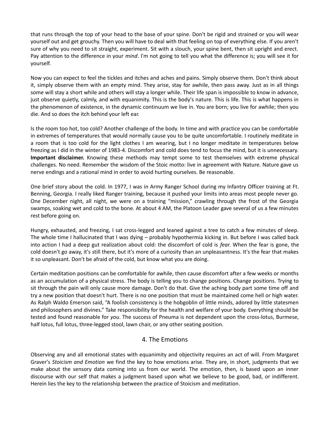that runs through the top of your head to the base of your spine. Don't be rigid and strained or you will wear yourself out and get grouchy. Then you will have to deal with that feeling on top of everything else. If you aren't sure of why you need to sit straight, experiment. Sit with a slouch, your spine bent, then sit upright and erect. Pay attention to the difference in your *mind*. I'm not going to tell you what the difference is; you will see it for yourself.

Now you can expect to feel the tickles and itches and aches and pains. Simply observe them. Don't think about it, simply observe them with an empty mind. They arise, stay for awhile, then pass away. Just as in all things some will stay a short while and others will stay a longer while. Their life span is impossible to know in advance, just observe quietly, calmly, and with equanimity. This is the body's nature. This is life. This is what happens in the phenomenon of existence, in the dynamic continuum we live in. You are born; you live for awhile; then you die. And so does the itch behind your left ear.

Is the room too hot, too cold? Another challenge of the body. In time and with practice you can be comfortable in extremes of temperatures that would normally cause you to be quite uncomfortable. I routinely meditate in a room that is too cold for the light clothes I am wearing, but I no longer meditate in temperatures below freezing as I did in the winter of 1983-4. Discomfort and cold does tend to focus the mind, but it is unnecessary. **Important disclaimer.** Knowing these methods may tempt some to test themselves with extreme physical challenges. No need. Remember the wisdom of the Stoic motto: live in agreement with Nature. Nature gave us nerve endings and a rational mind in order to avoid hurting ourselves. Be reasonable.

One brief story about the cold. In 1977, I was in Army Ranger School during my Infantry Officer training at Ft. Benning, Georgia. I really liked Ranger training, because it pushed your limits into areas most people never go. One December night, all night, we were on a training "mission," crawling through the frost of the Georgia swamps, soaking wet and cold to the bone. At about 4 AM, the Platoon Leader gave several of us a few minutes rest before going on.

Hungry, exhausted, and freezing, I sat cross-legged and leaned against a tree to catch a few minutes of sleep. The whole time I hallucinated that I was dying – probably hypothermia kicking in. But before I was called back into action I had a deep gut realization about cold: the discomfort of cold is *fear*. When the fear is gone, the cold doesn't go away, it's still there, but it's more of a curiosity than an unpleasantness. It's the fear that makes it so unpleasant. Don't be afraid of the cold, but know what you are doing.

Certain meditation positions can be comfortable for awhile, then cause discomfort after a few weeks or months as an accumulation of a physical stress. The body is telling you to change positions. Change positions. Trying to sit through the pain will only cause more damage. Don't do that. Give the aching body part some time off and try a new position that doesn't hurt. There is no one position that must be maintained come hell or high water. As Ralph Waldo Emerson said, "A foolish consistency is the hobgoblin of little minds, adored by little statesmen and philosophers and divines." Take responsibility for the health and welfare of your body. Everything should be tested and found reasonable for *you*. The success of Pneuma is not dependent upon the cross-lotus, Burmese, half lotus, full lotus, three-legged stool, lawn chair, or any other seating position.

#### 4. The Emotions

Observing any and all emotional states with equanimity and objectivity requires an act of will. From Margaret Graver's *Stoicism and Emotion* we find the key to how emotions arise. They are, in short, judgments that we make about the sensory data coming into us from our world. The emotion, then, is based upon an inner discourse with our self that makes a judgment based upon what we believe to be good, bad, or indifferent. Herein lies the key to the relationship between the practice of Stoicism and meditation.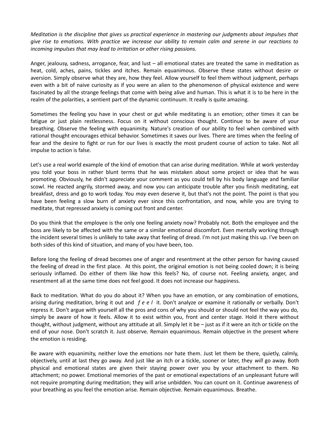*Meditation is the discipline that gives us practical experience in mastering our judgments about impulses that give rise to emotions. With practice we increase our ability to remain calm and serene in our reactions to incoming impulses that may lead to irritation or other rising passions.* 

Anger, jealousy, sadness, arrogance, fear, and lust – all emotional states are treated the same in meditation as heat, cold, aches, pains, tickles and itches. Remain equanimous. Observe these states without desire or aversion. Simply observe what they are, how they feel. Allow yourself to feel them without judgment, perhaps even with a bit of naive curiosity as if you were an alien to the phenomenon of physical existence and were fascinated by all the strange feelings that come with being alive and human. This is what it is to be here in the realm of the polarities, a sentient part of the dynamic continuum. It really is quite amazing.

Sometimes the feeling you have in your chest or gut while meditating is an emotion; other times it can be fatigue or just plain restlessness. Focus on it without conscious thought. Continue to be aware of your breathing. Observe the feeling with equanimity. Nature's creation of our ability to feel when combined with rational thought encourages ethical behavior. Sometimes it saves our lives. There are times when the feeling of fear and the desire to fight or run for our lives is exactly the most prudent course of action to take. Not all impulse to action is false.

Let's use a real world example of the kind of emotion that can arise during meditation. While at work yesterday you told your boss in rather blunt terms that he was mistaken about some project or idea that he was promoting. Obviously, he didn't appreciate your comment as you could tell by his body language and familiar scowl. He reacted angrily, stormed away, and now you can anticipate trouble after you finish meditating, eat breakfast, dress and go to work today. You *may* even deserve it, but that's not the point. The point is that you have been feeling a slow burn of anxiety ever since this confrontation, and now, while you are trying to meditate, that repressed anxiety is coming out front and center.

Do you think that the employee is the only one feeling anxiety now? Probably not. Both the employee and the boss are likely to be affected with the same or a similar emotional discomfort. Even mentally working through the incident several times is unlikely to take away that feeling of dread. I'm not just making this up. I've been on both sides of this kind of situation, and many of you have been, too.

Before long the feeling of dread becomes one of anger and resentment at the other person for having caused the feeling of dread in the first place. At this point, the original emotion is not being cooled down; it is being seriously inflamed. Do either of them like how this feels? No, of course not. Feeling anxiety, anger, and resentment all at the same time does not feel good. It does not increase our happiness.

Back to meditation. What do you do about it? When you have an emotion, or any combination of emotions, arising during meditation, bring it out and *f e e l* it. Don't analyze or examine it rationally or verbally. Don't repress it. Don't argue with yourself all the pros and cons of why you should or should not feel the way you do, simply be aware of how it feels. Allow it to exist within you, front and center stage. Hold it there without thought, without judgment, without any attitude at all. Simply let it be – just as if it were an itch or tickle on the end of your nose. Don't scratch it. Just observe. Remain equanimous. Remain objective in the present where the emotion is residing.

Be aware with equanimity, neither love the emotions nor hate them. Just let them be there, quietly, calmly, objectively, until at last they go away. And just like an itch or a tickle, sooner or later, they *will* go away. Both physical and emotional states are given their staying power over you by your attachment to them. No attachment; no power. Emotional memories of the past or emotional expectations of an unpleasant future will not require prompting during meditation; they will arise unbidden. You can count on it. Continue awareness of your breathing as you feel the emotion arise. Remain objective. Remain equanimous. Breathe.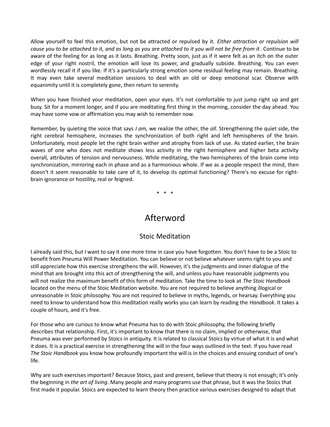Allow yourself to feel this emotion, but not be attracted or repulsed by it. *Either attraction or repulsion will cause you to be attached to it, and as long as you are attached to it you will not be free from it*. Continue to be aware of the feeling for as long as it lasts. Breathing. Pretty soon, just as if it were felt as an itch on the outer edge of your right nostril, the emotion will lose its power, and gradually subside. Breathing. You can even wordlessly recall it if you like. If it's a particularly strong emotion some residual feeling may remain. Breathing. It may even take several meditation sessions to deal with an old or deep emotional scar. Observe with equanimity until it is completely gone, then return to serenity.

When you have finished your meditation, open your eyes. It's not comfortable to just jump right up and get busy. Sit for a moment longer, and if you are meditating first thing in the morning, consider the day ahead. You may have some vow or affirmation you may wish to remember now.

Remember, by quieting the voice that says *I am,* we realize the other, the *all*. Strengthening the quiet side, the right cerebral hemisphere, increases the synchronization of both right and left hemispheres of the brain. Unfortunately, most people let the right brain wither and atrophy from lack of use. As stated earlier, the brain waves of one who does not meditate shows less activity in the right hemisphere and higher beta activity overall, attributes of tension and nervousness. While meditating, the two hemispheres of the brain come into synchronization, mirroring each in phase and as a harmonious whole. If we as a people respect the mind, then doesn't it seem reasonable to take care of it, to develop its optimal functioning? There's no excuse for rightbrain ignorance or hostility, real or feigned.

\* \* \*

# Afterword

## Stoic Meditation

I already said this, but I want to say it one more time in case you have forgotten. You don't have to be a Stoic to benefit from Pneuma Will Power Meditation. You can believe or not believe whatever seems right to you and still appreciate how this exercise strengthens the will. However, it's the judgments and inner dialogue of the mind that are brought into this act of strengthening the will, and unless you have reasonable judgments you will not realize the maximum benefit of this form of meditation. Take the time to look at *The Stoic Handbook* located on the menu of the Stoic Meditation website. You are not required to believe anything illogical or unreasonable in Stoic philosophy. You are not required to believe in myths, legends, or hearsay. Everything you need to know to understand how this meditation really works you can learn by reading the *Handbook*. It takes a couple of hours, and it's free.

For those who are curious to know what Pneuma has to do with Stoic philosophy, the following briefly describes that relationship. First, it's important to know that there is no claim, implied or otherwise, that Pneuma was ever performed by Stoics in antiquity. It is related to classical Stoics by virtue of what it is and what it does. It is a practical exercise in strengthening the will in the four ways outlined in the text. If you have read *The Stoic Handbook* you know how profoundly important the will is in the choices and ensuing conduct of one's life.

Why are such exercises important? Because Stoics, past and present, believe that theory is not enough; it's only the beginning in *the art of living*. Many people and many programs use that phrase, but it was the Stoics that first made it popular. Stoics are expected to learn theory then practice various exercises designed to adapt that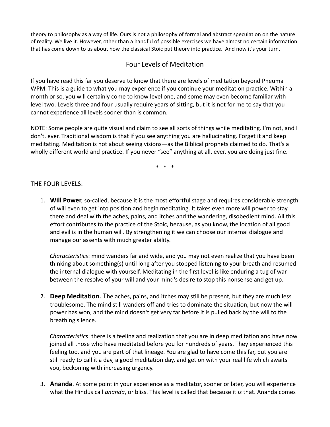theory to philosophy as a way of life. Ours is not a philosophy of formal and abstract speculation on the nature of reality. We live it. However, other than a handful of possible exercises we have almost no certain information that has come down to us about how the classical Stoic put theory into practice. And now it's your turn.

## Four Levels of Meditation

If you have read this far you deserve to know that there are levels of meditation beyond Pneuma WPM. This is a guide to what you may experience if you continue your meditation practice. Within a month or so, you will certainly come to know level one, and some may even become familiar with level two. Levels three and four usually require years of sitting, but it is not for me to say that you cannot experience all levels sooner than is common.

NOTE: Some people are quite visual and claim to see all sorts of things while meditating. I'm not, and I don't, ever. Traditional wisdom is that if you see anything you are hallucinating. Forget it and keep meditating. Meditation is not about seeing visions—as the Biblical prophets claimed to do. That's a wholly different world and practice. If you never "see" anything at all, ever, you are doing just fine.

\* \* \*

#### THE FOUR LEVELS:

1. **Will Power**, so-called, because it is the most effortful stage and requires considerable strength of will even to get into position and begin meditating. It takes even more will power to stay there and deal with the aches, pains, and itches and the wandering, disobedient mind. All this effort contributes to the practice of the Stoic, because, as you know, the location of all good and evil is in the human will. By strengthening it we can choose our internal dialogue and manage our assents with much greater ability.

*Characteristics*: mind wanders far and wide, and you may not even realize that you have been thinking about something(s) until long after you stopped listening to your breath and resumed the internal dialogue with yourself. Meditating in the first level is like enduring a tug of war between the resolve of your will and your mind's desire to stop this nonsense and get up.

2. **Deep Meditation**. The aches, pains, and itches may still be present, but they are much less troublesome. The mind still wanders off and tries to dominate the situation, but now the will power has won, and the mind doesn't get very far before it is pulled back by the will to the breathing silence.

*Characteristics*: there is a feeling and realization that you are in deep meditation and have now joined all those who have meditated before you for hundreds of years. They experienced this feeling too, and you are part of that lineage. You are glad to have come this far, but you are still ready to call it a day, a good meditation day, and get on with your real life which awaits you, beckoning with increasing urgency.

3. **Ananda**. At some point in your experience as a meditator, sooner or later, you will experience what the Hindus call *ananda*, or bliss. This level is called that because it *is* that. Ananda comes